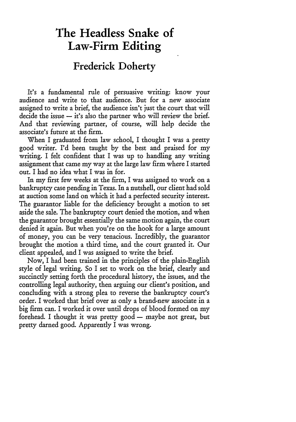## **The Headless Snake of Law-Firm Editing**

## **Frederick Doherty**

It's a fundamental rule of persuasive writing: know your audience and write to that audience. But for a new associate assigned to write a brief, the audience isn't just the court that will decide the issue  $-$  it's also the partner who will review the brief. And that reviewing partner, of course, will help decide the associate's future at the firm.

When I graduated from law school, I thought I was a pretty good writer. I'd been taught by the best and praised for my writing. I felt confident that I was up to handling any writing assignment that came my way at the large law firm where I started out. I had no idea what I was in for.

In my first few weeks at the firm, I was assigned to work on a bankruptcy case pending in Texas. In a nutshell, our client had sold at auction some land on which it had a perfected security interest. The guarantor liable for the deficiency brought a motion to set aside the sale. The bankruptcy court denied the motion, and when the guarantor brought essentially the same motion again, the court denied it again. But when you're on the hook for a large amount of money, you can be very tenacious. Incredibly, the guarantor brought the motion a third time, and the court granted it. Our client appealed, and I was assigned to write the brief.

Now, I had been trained in the principles of the plain-English style of legal writing. So I set to work on the brief, clearly and succinctly setting forth the procedural history, the issues, and the controlling legal authority, then arguing our client's position, and concluding with a strong plea to reverse the bankruptcy court's order. I worked that brief over as only a brand-new associate in a big firm can. I worked it over until drops of blood formed on my forehead. I thought it was pretty good  $-$  maybe not great, but pretty darned good. Apparently I was wrong.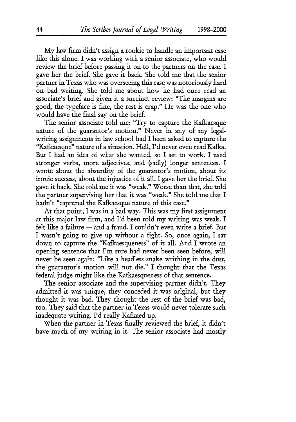My law firm didn't assign a rookie to handle an important case like this alone. I was working with a senior associate, who would review the brief before passing it on to the partners on the case. I gave her the brief. She gave it back. She told me that the senior partner in Texas who was overseeing this case was notoriously hard on bad writing. She told me about how he had once read an associate's brief and given it a succinct review: "The margins are good, the typeface is fine, the rest is crap." He was the one who would have the final say on the brief.

The senior associate told me: "Try to capture the Kafkaesque nature of the guarantor's motion." Never in any of my legalwriting assignments in law school had I been asked to capture the "Kafkaesque" nature of a situation. Hell, I'd never even read Kafka. But I had an idea of what she wanted, so I set to work. I used stronger verbs, more adjectives, and (sadly) longer sentences. I wrote about the absurdity of the guarantor's motion, about its ironic success, about the injustice of it all. I gave her the brief. She gave it back. She told me it was "weak." Worse than that, she told the partner supervising her that it was "weak." She told me that I hadn't "captured the Kafkaesque nature of this case."

At that point, I was in a bad way. This was my first assignment at this major law firm, and I'd been told my writing was weak. I felt like a failure  $-$  and a fraud. I couldn't even write a brief. But I wasn't going to give up without a fight. So, once again, I sat down to capture the "Kafkaesqueness" of it all. And I wrote an opening sentence that I'm sure had never been seen before, will never be seen again: "Like a headless snake writhing in the dust, the guarantor's motion will not die." I thought that the Texas federal judge might like the Kafkaesqueness of that sentence.

The senior associate and the supervising partner didn't. They admitted it was unique, they conceded it was original, but they thought it was bad. They thought the rest of the brief was bad, too. They said that the partner in Texas would never tolerate such inadequate writing. I'd really Kafkaed up.

When the partner in Texas finally reviewed the brief, it didn't have much of my writing in it. The senior associate had mostly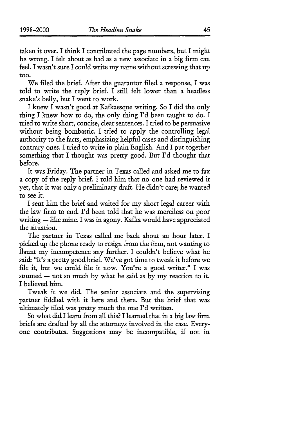45

taken it over. I think I contributed the page numbers, but I might be wrong. I felt about as bad as a new associate in a big firm can feel. I wasn't sure I could write my name without screwing that up too.

We filed the brief. After the guarantor filed a response, I was told to write the reply brief. I still felt lower than a headless snake's belly, but I went to work.

I knew I wasn't good at Kafkaesque writing. So I did the only thing I knew how to do, the only thing I'd been taught to do. I tried to write short, concise, clear sentences. I tried to be persuasive without being bombastic. I tried to apply the controlling legal authority to the facts, emphasizing helpful cases and distinguishing contrary ones. I tried to write in plain English. And I put together something that I thought was pretty good. But I'd thought that before.

It was Friday. The partner in Texas called and asked me to fax a copy of the reply brief. I told him that no one had reviewed it yet, that it was only a preliminary draft. He didn't care; he wanted to see it.

I sent him the brief and waited for my short legal career with the law firm to end. I'd been told that he was merciless on poor writing - like mine. I was in agony. Kafka would have appreciated the situation.

The partner in Texas called me back about an hour later. I picked up the phone ready to resign from the firm, not wanting to flaunt my incompetence any further. I couldn't believe what he said. "It's a pretty good brief. We've got time to tweak it before we file it, but we could file it now. You're a good writer." I was stunned  $-$  not so much by what he said as by my reaction to it. I believed him.

Tweak it we did. The senior associate and the supervising partner fiddled with it here and there. But the brief that was ultimately filed was pretty much the one I'd written.

So what did I learn from all this? I learned that in a big law firm briefs are drafted by all the attorneys involved in the case. Everyone contributes. Suggestions may be incompatible, if not in